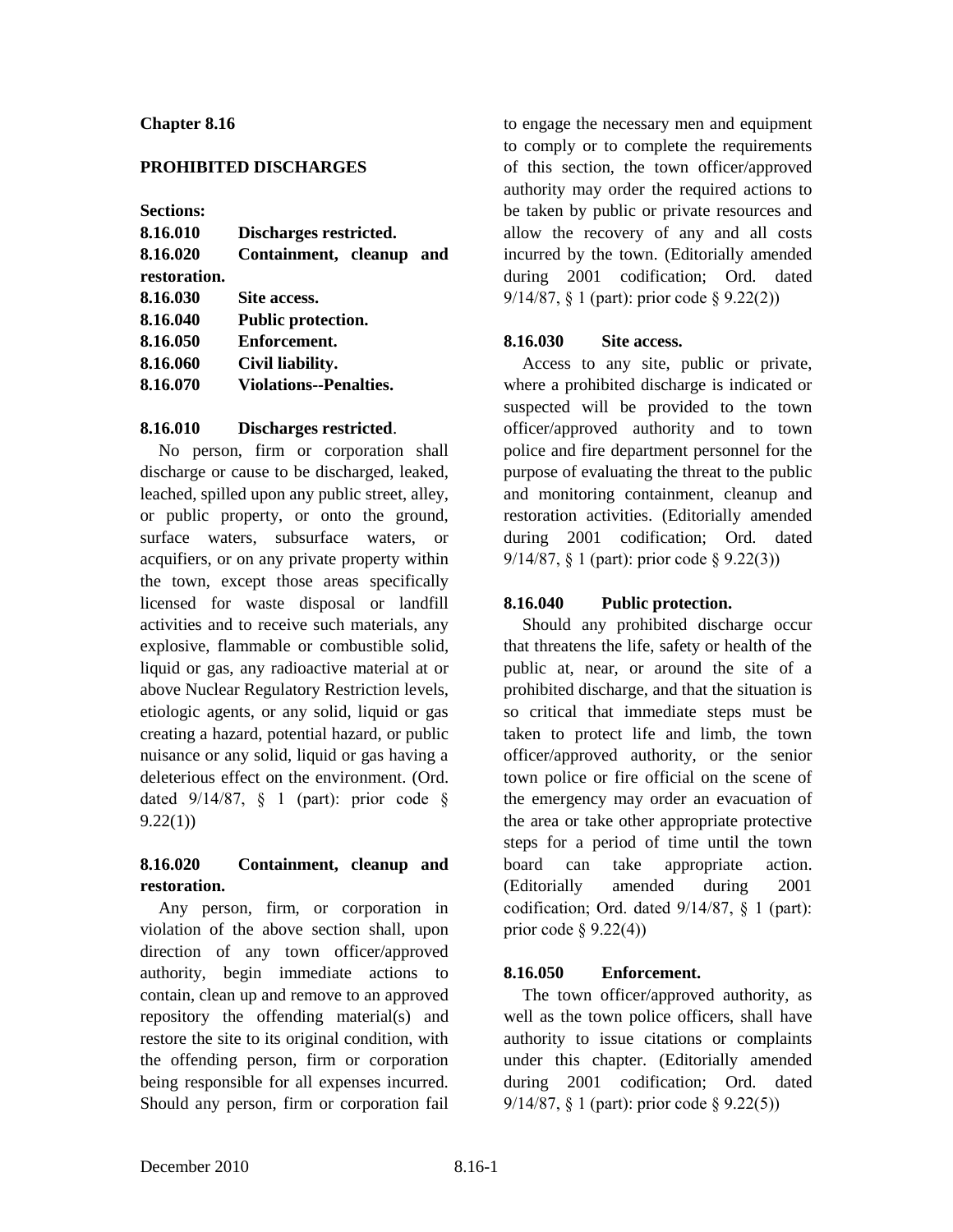#### **Chapter 8.16**

### **PROHIBITED DISCHARGES**

**Sections:**

| 8.16.010     | Discharges restricted.        |  |
|--------------|-------------------------------|--|
| 8.16.020     | Containment, cleanup and      |  |
| restoration. |                               |  |
| 8.16.030     | Site access.                  |  |
| 8.16.040     | Public protection.            |  |
| 8.16.050     | Enforcement.                  |  |
| 8.16.060     | Civil liability.              |  |
| 8.16.070     | <b>Violations--Penalties.</b> |  |
|              |                               |  |

#### **8.16.010 Discharges restricted**.

No person, firm or corporation shall discharge or cause to be discharged, leaked, leached, spilled upon any public street, alley, or public property, or onto the ground, surface waters, subsurface waters, or acquifiers, or on any private property within the town, except those areas specifically licensed for waste disposal or landfill activities and to receive such materials, any explosive, flammable or combustible solid, liquid or gas, any radioactive material at or above Nuclear Regulatory Restriction levels, etiologic agents, or any solid, liquid or gas creating a hazard, potential hazard, or public nuisance or any solid, liquid or gas having a deleterious effect on the environment. (Ord. dated  $9/14/87$ ,  $\frac{6}{8}$  1 (part): prior code  $\frac{6}{8}$  $9.22(1)$ 

# **8.16.020 Containment, cleanup and restoration.**

Any person, firm, or corporation in violation of the above section shall, upon direction of any town officer/approved authority, begin immediate actions to contain, clean up and remove to an approved repository the offending material(s) and restore the site to its original condition, with the offending person, firm or corporation being responsible for all expenses incurred. Should any person, firm or corporation fail

to engage the necessary men and equipment to comply or to complete the requirements of this section, the town officer/approved authority may order the required actions to be taken by public or private resources and allow the recovery of any and all costs incurred by the town. (Editorially amended during 2001 codification; Ord. dated 9/14/87, § 1 (part): prior code § 9.22(2))

# **8.16.030 Site access.**

Access to any site, public or private, where a prohibited discharge is indicated or suspected will be provided to the town officer/approved authority and to town police and fire department personnel for the purpose of evaluating the threat to the public and monitoring containment, cleanup and restoration activities. (Editorially amended during 2001 codification; Ord. dated 9/14/87, § 1 (part): prior code § 9.22(3))

# **8.16.040 Public protection.**

Should any prohibited discharge occur that threatens the life, safety or health of the public at, near, or around the site of a prohibited discharge, and that the situation is so critical that immediate steps must be taken to protect life and limb, the town officer/approved authority, or the senior town police or fire official on the scene of the emergency may order an evacuation of the area or take other appropriate protective steps for a period of time until the town board can take appropriate action. (Editorially amended during 2001 codification; Ord. dated 9/14/87, § 1 (part): prior code  $\S$  9.22(4))

# **8.16.050 Enforcement.**

The town officer/approved authority, as well as the town police officers, shall have authority to issue citations or complaints under this chapter. (Editorially amended during 2001 codification; Ord. dated 9/14/87, § 1 (part): prior code § 9.22(5))